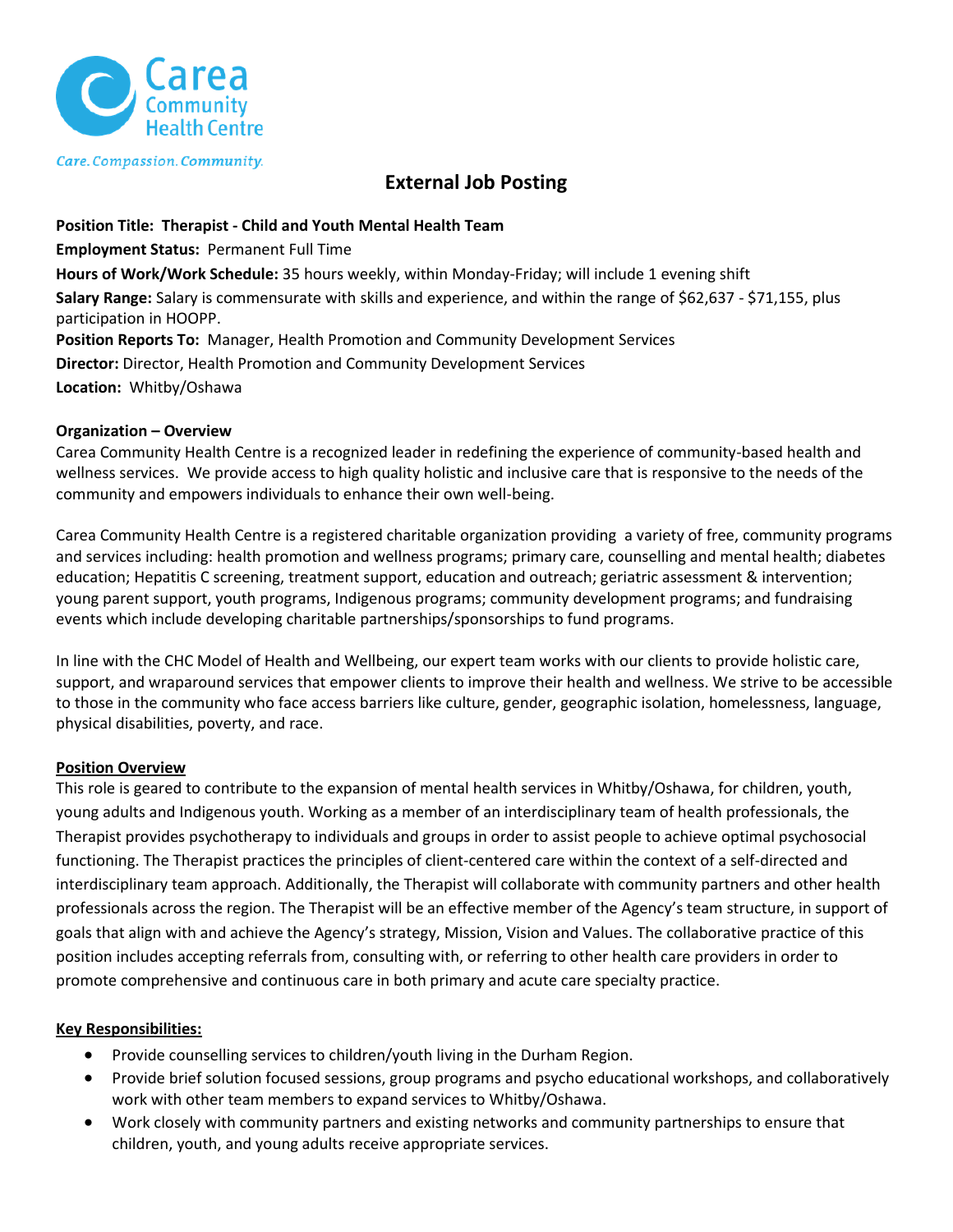

Care. Compassion. Community.

## **External Job Posting**

**Position Title: Therapist - Child and Youth Mental Health Team Employment Status:** Permanent Full Time **Hours of Work/Work Schedule:** 35 hours weekly, within Monday-Friday; will include 1 evening shift **Salary Range:** Salary is commensurate with skills and experience, and within the range of \$62,637 - \$71,155, plus participation in HOOPP. **Position Reports To:** Manager, Health Promotion and Community Development Services **Director:** Director, Health Promotion and Community Development Services **Location:** Whitby/Oshawa

### **Organization – Overview**

Carea Community Health Centre is a recognized leader in redefining the experience of community-based health and wellness services. We provide access to high quality holistic and inclusive care that is responsive to the needs of the community and empowers individuals to enhance their own well-being.

Carea Community Health Centre is a registered charitable organization providing a variety of free, community programs and services including: health promotion and wellness programs; primary care, counselling and mental health; diabetes education; Hepatitis C screening, treatment support, education and outreach; geriatric assessment & intervention; young parent support, youth programs, Indigenous programs; community development programs; and fundraising events which include developing charitable partnerships/sponsorships to fund programs.

In line with the CHC Model of Health and Wellbeing, our expert team works with our clients to provide holistic care, support, and wraparound services that empower clients to improve their health and wellness. We strive to be accessible to those in the community who face access barriers like culture, gender, geographic isolation, homelessness, language, physical disabilities, poverty, and race.

### **Position Overview**

This role is geared to contribute to the expansion of mental health services in Whitby/Oshawa, for children, youth, young adults and Indigenous youth. Working as a member of an interdisciplinary team of health professionals, the Therapist provides psychotherapy to individuals and groups in order to assist people to achieve optimal psychosocial functioning. The Therapist practices the principles of client-centered care within the context of a self-directed and interdisciplinary team approach. Additionally, the Therapist will collaborate with community partners and other health professionals across the region. The Therapist will be an effective member of the Agency's team structure, in support of goals that align with and achieve the Agency's strategy, Mission, Vision and Values. The collaborative practice of this position includes accepting referrals from, consulting with, or referring to other health care providers in order to promote comprehensive and continuous care in both primary and acute care specialty practice.

#### **Key Responsibilities:**

- Provide counselling services to children/youth living in the Durham Region.
- Provide brief solution focused sessions, group programs and psycho educational workshops, and collaboratively work with other team members to expand services to Whitby/Oshawa.
- Work closely with community partners and existing networks and community partnerships to ensure that children, youth, and young adults receive appropriate services.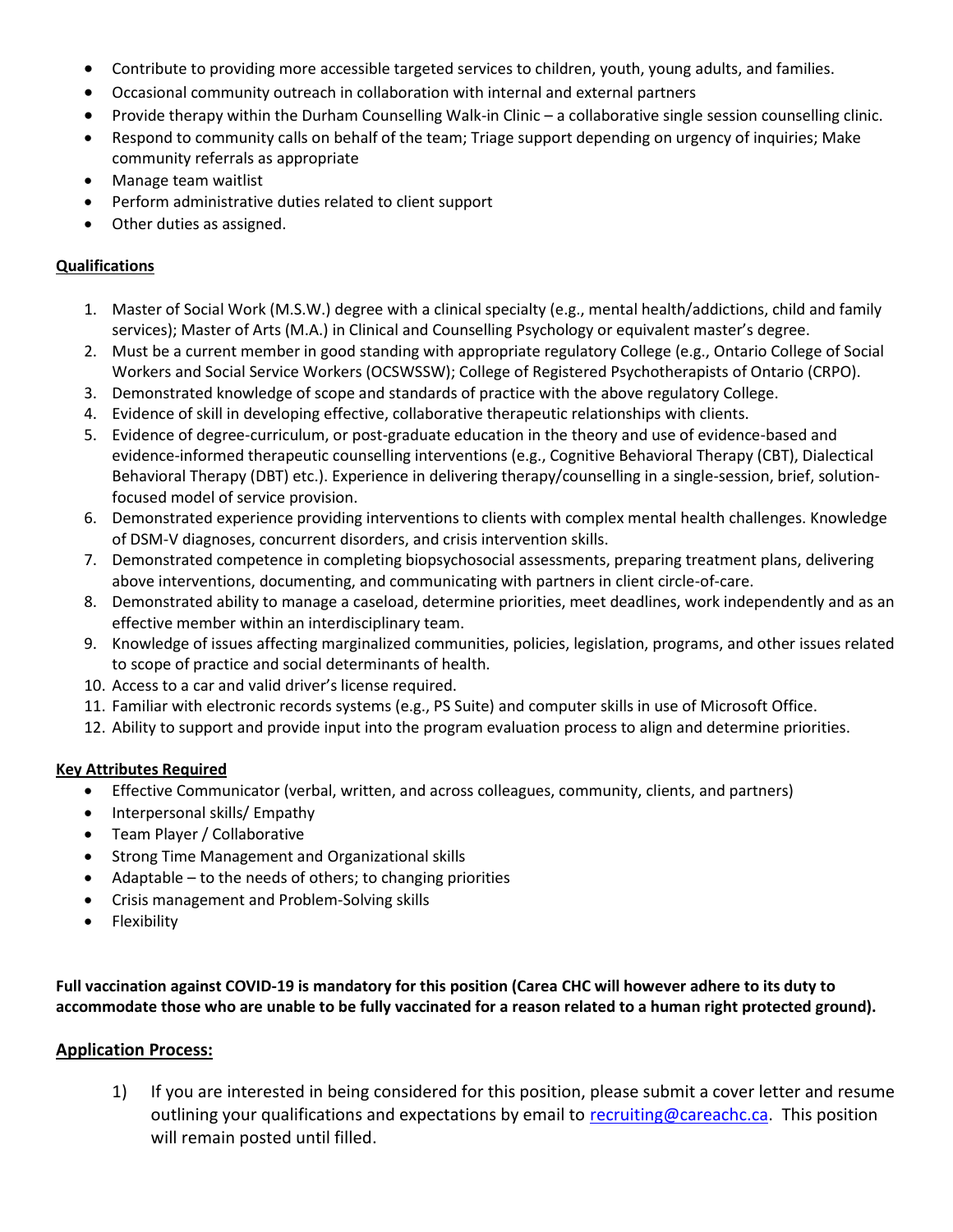- Contribute to providing more accessible targeted services to children, youth, young adults, and families.
- Occasional community outreach in collaboration with internal and external partners
- Provide therapy within the Durham Counselling Walk-in Clinic a collaborative single session counselling clinic.
- Respond to community calls on behalf of the team; Triage support depending on urgency of inquiries; Make community referrals as appropriate
- Manage team waitlist
- Perform administrative duties related to client support
- Other duties as assigned.

## **Qualifications**

- 1. Master of Social Work (M.S.W.) degree with a clinical specialty (e.g., mental health/addictions, child and family services); Master of Arts (M.A.) in Clinical and Counselling Psychology or equivalent master's degree.
- 2. Must be a current member in good standing with appropriate regulatory College (e.g., Ontario College of Social Workers and Social Service Workers (OCSWSSW); College of Registered Psychotherapists of Ontario (CRPO).
- 3. Demonstrated knowledge of scope and standards of practice with the above regulatory College.
- 4. Evidence of skill in developing effective, collaborative therapeutic relationships with clients.
- 5. Evidence of degree-curriculum, or post-graduate education in the theory and use of evidence-based and evidence-informed therapeutic counselling interventions (e.g., Cognitive Behavioral Therapy (CBT), Dialectical Behavioral Therapy (DBT) etc.). Experience in delivering therapy/counselling in a single-session, brief, solutionfocused model of service provision.
- 6. Demonstrated experience providing interventions to clients with complex mental health challenges. Knowledge of DSM-V diagnoses, concurrent disorders, and crisis intervention skills.
- 7. Demonstrated competence in completing biopsychosocial assessments, preparing treatment plans, delivering above interventions, documenting, and communicating with partners in client circle-of-care.
- 8. Demonstrated ability to manage a caseload, determine priorities, meet deadlines, work independently and as an effective member within an interdisciplinary team.
- 9. Knowledge of issues affecting marginalized communities, policies, legislation, programs, and other issues related to scope of practice and social determinants of health.
- 10. Access to a car and valid driver's license required.
- 11. Familiar with electronic records systems (e.g., PS Suite) and computer skills in use of Microsoft Office.
- 12. Ability to support and provide input into the program evaluation process to align and determine priorities.

### **Key Attributes Required**

- Effective Communicator (verbal, written, and across colleagues, community, clients, and partners)
- Interpersonal skills/ Empathy
- Team Player / Collaborative
- Strong Time Management and Organizational skills
- Adaptable  $-$  to the needs of others; to changing priorities
- Crisis management and Problem-Solving skills
- **Flexibility**

**Full vaccination against COVID-19 is mandatory for this position (Carea CHC will however adhere to its duty to accommodate those who are unable to be fully vaccinated for a reason related to a human right protected ground).**

# **Application Process:**

1) If you are interested in being considered for this position, please submit a cover letter and resume outlining your qualifications and expectations by email to [recruiting@careachc.ca.](mailto:recruiting@careachc.ca) This position will remain posted until filled.